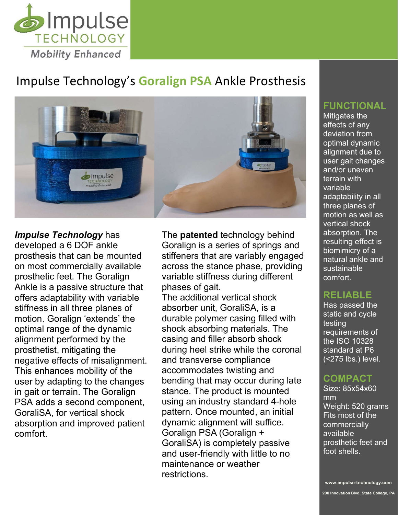

# Impulse Technology's Goralign PSA Ankle Prosthesis



## Impulse Technology has

developed a 6 DOF ankle prosthesis that can be mounted on most commercially available prosthetic feet. The Goralign Ankle is a passive structure that offers adaptability with variable stiffness in all three planes of motion. Goralign 'extends' the optimal range of the dynamic alignment performed by the prosthetist, mitigating the negative effects of misalignment. This enhances mobility of the user by adapting to the changes in gait or terrain. The Goralign PSA adds a second component, GoraliSA, for vertical shock absorption and improved patient comfort.

The **patented** technology behind Goralign is a series of springs and stiffeners that are variably engaged across the stance phase, providing variable stiffness during different phases of gait.

The additional vertical shock absorber unit, GoraliSA, is a durable polymer casing filled with shock absorbing materials. The casing and filler absorb shock during heel strike while the coronal and transverse compliance accommodates twisting and bending that may occur during late stance. The product is mounted using an industry standard 4-hole pattern. Once mounted, an initial dynamic alignment will suffice. Goralign PSA (Goralign + GoraliSA) is completely passive and user-friendly with little to no maintenance or weather restrictions.

#### FUNCTIONAL

Mitigates the effects of any deviation from optimal dynamic alignment due to user gait changes and/or uneven terrain with variable adaptability in all three planes of motion as well as vertical shock absorption. The resulting effect is biomimicry of a natural ankle and sustainable comfort.

#### RELIABLE

Has passed the static and cycle testing requirements of the ISO 10328 standard at P6 (<275 lbs.) level.

### COMPACT

Size: 85x54x60 mm Weight: 520 grams Fits most of the commercially available prosthetic feet and foot shells.

www.impulse-technology.com

200 Innovation Blvd, State College, PA